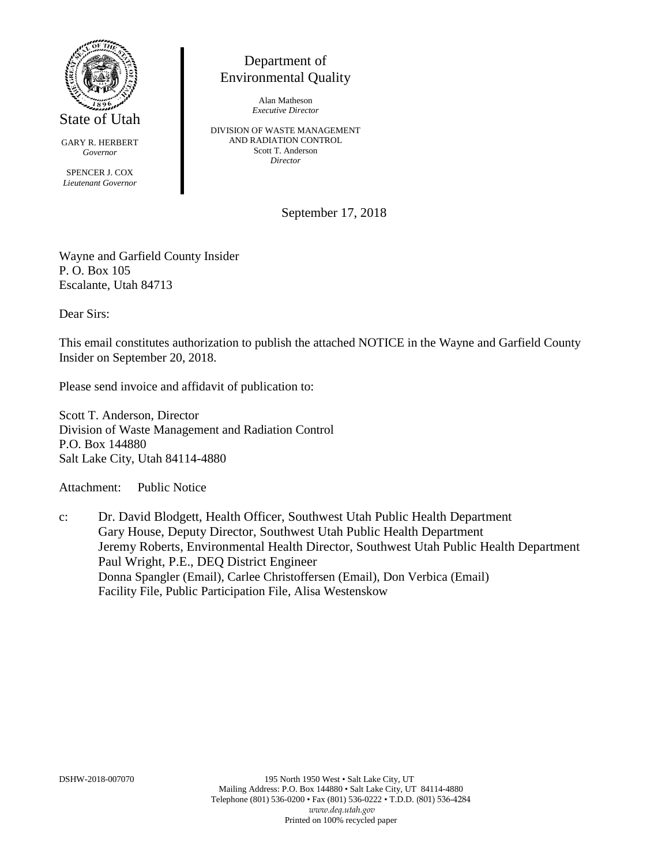

State of Utah

GARY R. HERBERT *Governor*

SPENCER J. COX *Lieutenant Governor*

## Department of Environmental Quality

Alan Matheson *Executive Director*

DIVISION OF WASTE MANAGEMENT AND RADIATION CONTROL Scott T. Anderson *Director*

September 17, 2018

Wayne and Garfield County Insider P. O. Box 105 Escalante, Utah 84713

Dear Sirs:

This email constitutes authorization to publish the attached NOTICE in the Wayne and Garfield County Insider on September 20, 2018.

Please send invoice and affidavit of publication to:

Scott T. Anderson, Director Division of Waste Management and Radiation Control P.O. Box 144880 Salt Lake City, Utah 84114-4880

Attachment: Public Notice

c: Dr. David Blodgett, Health Officer, Southwest Utah Public Health Department Gary House, Deputy Director, Southwest Utah Public Health Department Jeremy Roberts, Environmental Health Director, Southwest Utah Public Health Department Paul Wright, P.E., DEQ District Engineer Donna Spangler (Email), Carlee Christoffersen (Email), Don Verbica (Email) Facility File, Public Participation File, Alisa Westenskow